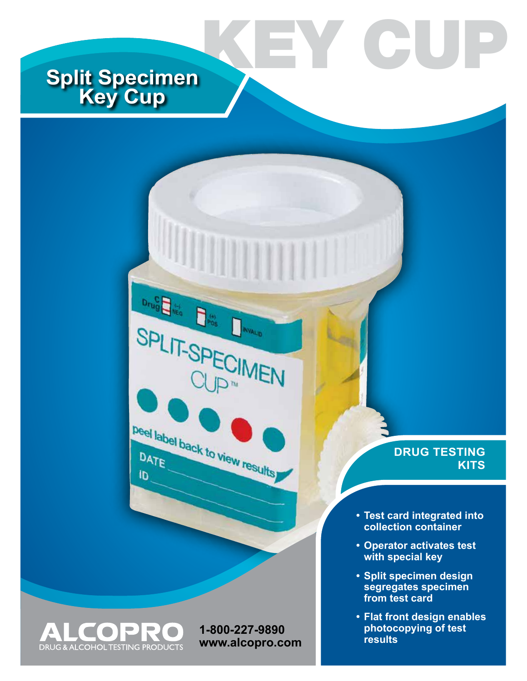# **Split Specimen Key Cup**

 $D_{\text{rig}}^{\text{C}}$ 

SPLIT-SP

 $\begin{picture}(20,20) \put(0,0){\line(1,0){10}} \put(15,0){\line(1,0){10}} \put(15,0){\line(1,0){10}} \put(15,0){\line(1,0){10}} \put(15,0){\line(1,0){10}} \put(15,0){\line(1,0){10}} \put(15,0){\line(1,0){10}} \put(15,0){\line(1,0){10}} \put(15,0){\line(1,0){10}} \put(15,0){\line(1,0){10}} \put(15,0){\line(1,0){10}} \put(15,0){\line(1$ 

Deel label back to view results

**NVALID** 



**1-800-227-9890 www.alcopro.com**

## **DRUG TESTING KITS**

**• Test card integrated into collection container**

EY CU

- **• Operator activates test with special key**
- **• Split specimen design segregates specimen from test card**
- **• Flat front design enables photocopying of test results**